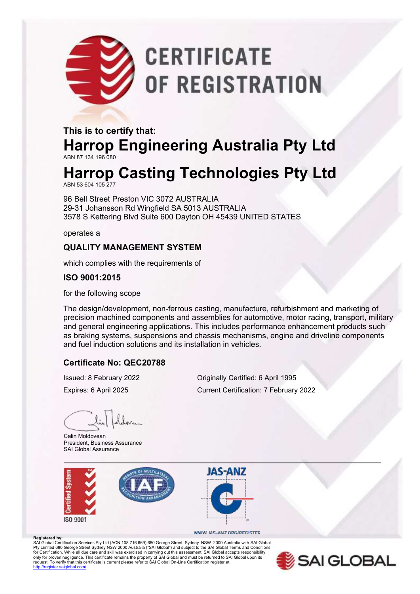# **CERTIFICATE** OF REGISTRATION

#### **This is to certify that: Harrop Engineering Australia Pty Ltd** ABN 87 134 196 080

### **Harrop Casting Technologies Pty Ltd**

ABN 53 604 105 277

96 Bell Street Preston VIC 3072 AUSTRALIA 29-31 Johansson Rd Wingfield SA 5013 AUSTRALIA 3578 S Kettering Blvd Suite 600 Dayton OH 45439 UNITED STATES

operates a

#### **QUALITY MANAGEMENT SYSTEM**

which complies with the requirements of

#### **ISO 9001:2015**

for the following scope

The design/development, non-ferrous casting, manufacture, refurbishment and marketing of precision machined components and assemblies for automotive, motor racing, transport, military and general engineering applications. This includes performance enhancement products such as braking systems, suspensions and chassis mechanisms, engine and driveline components and fuel induction solutions and its installation in vehicles.

#### **Certificate No: QEC20788**

Issued: 8 February 2022 Originally Certified: 6 April 1995

Expires: 6 April 2025 Current Certification: 7 February 2022

Calin Moldovean President, Business Assurance SAI Global Assurance

**Registered by:**





#### WWW.JAS-ANZ.ORG/REGISTER

SAI Global Certification Services Pty Ltd (ACN 108 716 669) 680 George Street Sydney NSW 2000 Australia with SAI Global Pty Limited 680 George Street Sydney NSW 2000 Australia ("SAI Global") and subject to the SAI Global Terms and Conditions<br>for Certification. While all due care and skill was exercised in carrying out this assessment, SAI G only for proven negligence. This certificate remains the property of SAI Global and must be returned to SAI Global upon its<br>request. To verify that this certificate is current please refer to SAI Global On-Line Certificati ntohal.com/